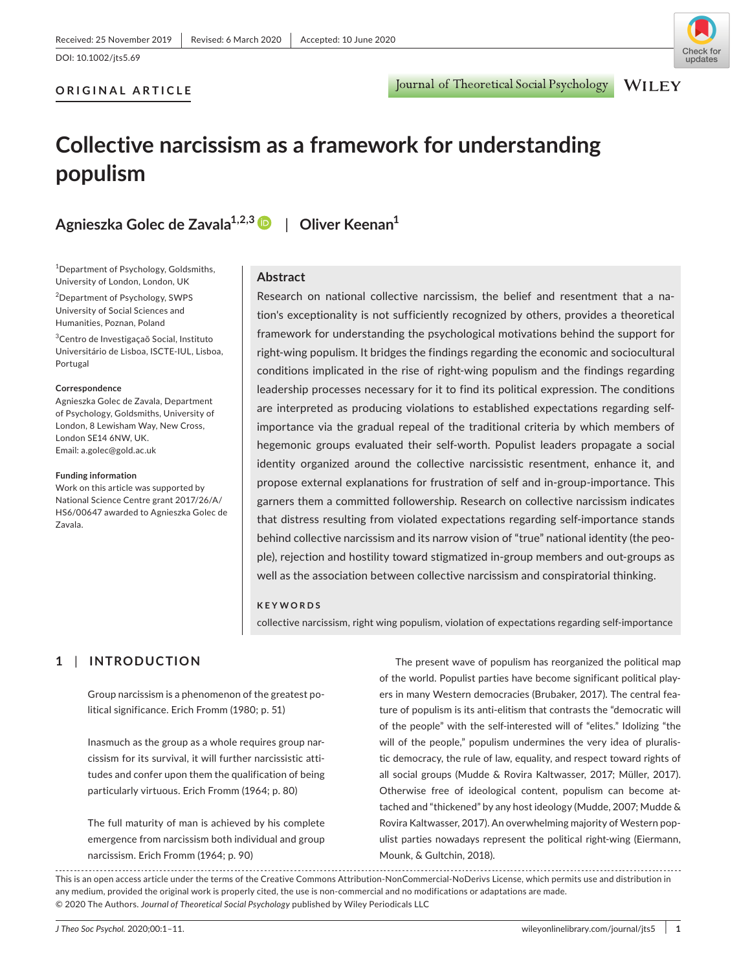**ORIGINAL ARTICLE**

Journal of Theoretical Social Psychology

## **WILEY**

# **Collective narcissism as a framework for understanding populism**

**Agnieszka Golec de Zavala1,2,[3](https://orcid.org/0000-0002-7631-9486)** | **Oliver Keenan1**

<sup>1</sup>Department of Psychology, Goldsmiths, University of London, London, UK

2 Department of Psychology, SWPS University of Social Sciences and Humanities, Poznan, Poland

3 Centro de Investigaçaõ Social, Instituto Universitário de Lisboa, ISCTE-IUL, Lisboa, Portugal

#### **Correspondence**

Agnieszka Golec de Zavala, Department of Psychology, Goldsmiths, University of London, 8 Lewisham Way, New Cross, London SE14 6NW, UK. Email: [a.golec@gold.ac.uk](mailto:a.golec@gold.ac.uk)

#### **Funding information**

Work on this article was supported by National Science Centre grant 2017/26/A/ HS6/00647 awarded to Agnieszka Golec de Zavala.

#### **Abstract**

Research on national collective narcissism, the belief and resentment that a nation's exceptionality is not sufficiently recognized by others, provides a theoretical framework for understanding the psychological motivations behind the support for right-wing populism. It bridges the findings regarding the economic and sociocultural conditions implicated in the rise of right-wing populism and the findings regarding leadership processes necessary for it to find its political expression. The conditions are interpreted as producing violations to established expectations regarding selfimportance via the gradual repeal of the traditional criteria by which members of hegemonic groups evaluated their self-worth. Populist leaders propagate a social identity organized around the collective narcissistic resentment, enhance it, and propose external explanations for frustration of self and in-group-importance. This garners them a committed followership. Research on collective narcissism indicates that distress resulting from violated expectations regarding self-importance stands behind collective narcissism and its narrow vision of "true" national identity (the people), rejection and hostility toward stigmatized in-group members and out-groups as well as the association between collective narcissism and conspiratorial thinking.

#### **KEYWORDS**

collective narcissism, right wing populism, violation of expectations regarding self-importance

## **1** | **INTRODUCTION**

Group narcissism is a phenomenon of the greatest political significance. Erich Fromm (1980; p. 51)

Inasmuch as the group as a whole requires group narcissism for its survival, it will further narcissistic attitudes and confer upon them the qualification of being particularly virtuous. Erich Fromm (1964; p. 80)

The full maturity of man is achieved by his complete emergence from narcissism both individual and group narcissism. Erich Fromm (1964; p. 90)

The present wave of populism has reorganized the political map of the world. Populist parties have become significant political players in many Western democracies (Brubaker, 2017). The central feature of populism is its anti-elitism that contrasts the "democratic will of the people" with the self-interested will of "elites." Idolizing "the will of the people," populism undermines the very idea of pluralistic democracy, the rule of law, equality, and respect toward rights of all social groups (Mudde & Rovira Kaltwasser, 2017; Müller, 2017). Otherwise free of ideological content, populism can become attached and "thickened" by any host ideology (Mudde, 2007; Mudde & Rovira Kaltwasser, 2017). An overwhelming majority of Western populist parties nowadays represent the political right-wing (Eiermann, Mounk, & Gultchin, 2018).

This is an open access article under the terms of the [Creative Commons Attribution-NonCommercial-NoDerivs](http://creativecommons.org/licenses/by-nc/nd/4.0/) License, which permits use and distribution in any medium, provided the original work is properly cited, the use is non-commercial and no modifications or adaptations are made. © 2020 The Authors. *Journal of Theoretical Social Psychology* published by Wiley Periodicals LLC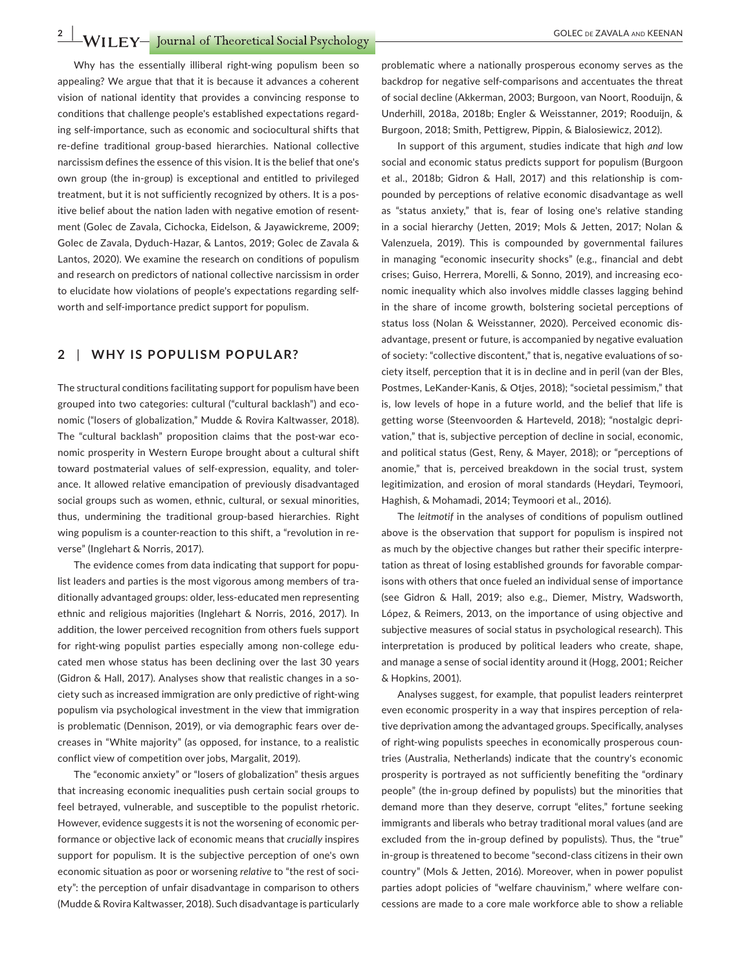**2 WILEY** *COLEC DE ZAVALA AND KEENAN* 

Why has the essentially illiberal right-wing populism been so appealing? We argue that that it is because it advances a coherent vision of national identity that provides a convincing response to conditions that challenge people's established expectations regarding self-importance, such as economic and sociocultural shifts that re-define traditional group-based hierarchies. National collective narcissism defines the essence of this vision. It is the belief that one's own group (the in-group) is exceptional and entitled to privileged treatment, but it is not sufficiently recognized by others. It is a positive belief about the nation laden with negative emotion of resentment (Golec de Zavala, Cichocka, Eidelson, & Jayawickreme, 2009; Golec de Zavala, Dyduch-Hazar, & Lantos, 2019; Golec de Zavala & Lantos, 2020). We examine the research on conditions of populism and research on predictors of national collective narcissism in order to elucidate how violations of people's expectations regarding selfworth and self-importance predict support for populism.

#### **2** | **WHY IS POPULISM POPULAR?**

The structural conditions facilitating support for populism have been grouped into two categories: cultural ("cultural backlash") and economic ("losers of globalization," Mudde & Rovira Kaltwasser, 2018). The "cultural backlash" proposition claims that the post-war economic prosperity in Western Europe brought about a cultural shift toward postmaterial values of self-expression, equality, and tolerance. It allowed relative emancipation of previously disadvantaged social groups such as women, ethnic, cultural, or sexual minorities, thus, undermining the traditional group-based hierarchies. Right wing populism is a counter-reaction to this shift, a "revolution in reverse" (Inglehart & Norris, 2017).

The evidence comes from data indicating that support for populist leaders and parties is the most vigorous among members of traditionally advantaged groups: older, less-educated men representing ethnic and religious majorities (Inglehart & Norris, 2016, 2017). In addition, the lower perceived recognition from others fuels support for right-wing populist parties especially among non-college educated men whose status has been declining over the last 30 years (Gidron & Hall, 2017). Analyses show that realistic changes in a society such as increased immigration are only predictive of right-wing populism via psychological investment in the view that immigration is problematic (Dennison, 2019), or via demographic fears over decreases in "White majority" (as opposed, for instance, to a realistic conflict view of competition over jobs, Margalit, 2019).

The "economic anxiety" or "losers of globalization" thesis argues that increasing economic inequalities push certain social groups to feel betrayed, vulnerable, and susceptible to the populist rhetoric. However, evidence suggests it is not the worsening of economic performance or objective lack of economic means that *crucially* inspires support for populism. It is the subjective perception of one's own economic situation as poor or worsening *relative* to "the rest of society": the perception of unfair disadvantage in comparison to others (Mudde & Rovira Kaltwasser, 2018). Such disadvantage is particularly problematic where a nationally prosperous economy serves as the backdrop for negative self-comparisons and accentuates the threat of social decline (Akkerman, 2003; Burgoon, van Noort, Rooduijn, & Underhill, 2018a, 2018b; Engler & Weisstanner, 2019; Rooduijn, & Burgoon, 2018; Smith, Pettigrew, Pippin, & Bialosiewicz, 2012).

In support of this argument, studies indicate that high *and* low social and economic status predicts support for populism (Burgoon et al., 2018b; Gidron & Hall, 2017) and this relationship is compounded by perceptions of relative economic disadvantage as well as "status anxiety," that is, fear of losing one's relative standing in a social hierarchy (Jetten, 2019; Mols & Jetten, 2017; Nolan & Valenzuela, 2019). This is compounded by governmental failures in managing "economic insecurity shocks" (e.g., financial and debt crises; Guiso, Herrera, Morelli, & Sonno, 2019), and increasing economic inequality which also involves middle classes lagging behind in the share of income growth, bolstering societal perceptions of status loss (Nolan & Weisstanner, 2020). Perceived economic disadvantage, present or future, is accompanied by negative evaluation of society: "collective discontent," that is, negative evaluations of society itself, perception that it is in decline and in peril (van der Bles, Postmes, LeKander-Kanis, & Otjes, 2018); "societal pessimism," that is, low levels of hope in a future world, and the belief that life is getting worse (Steenvoorden & Harteveld, 2018); "nostalgic deprivation," that is, subjective perception of decline in social, economic, and political status (Gest, Reny, & Mayer, 2018); or "perceptions of anomie," that is, perceived breakdown in the social trust, system legitimization, and erosion of moral standards (Heydari, Teymoori, Haghish, & Mohamadi, 2014; Teymoori et al., 2016).

The *leitmotif* in the analyses of conditions of populism outlined above is the observation that support for populism is inspired not as much by the objective changes but rather their specific interpretation as threat of losing established grounds for favorable comparisons with others that once fueled an individual sense of importance (see Gidron & Hall, 2019; also e.g., Diemer, Mistry, Wadsworth, López, & Reimers, 2013, on the importance of using objective and subjective measures of social status in psychological research). This interpretation is produced by political leaders who create, shape, and manage a sense of social identity around it (Hogg, 2001; Reicher & Hopkins, 2001).

Analyses suggest, for example, that populist leaders reinterpret even economic prosperity in a way that inspires perception of relative deprivation among the advantaged groups. Specifically, analyses of right-wing populists speeches in economically prosperous countries (Australia, Netherlands) indicate that the country's economic prosperity is portrayed as not sufficiently benefiting the "ordinary people" (the in-group defined by populists) but the minorities that demand more than they deserve, corrupt "elites," fortune seeking immigrants and liberals who betray traditional moral values (and are excluded from the in-group defined by populists). Thus, the "true" in-group is threatened to become "second-class citizens in their own country" (Mols & Jetten, 2016). Moreover, when in power populist parties adopt policies of "welfare chauvinism," where welfare concessions are made to a core male workforce able to show a reliable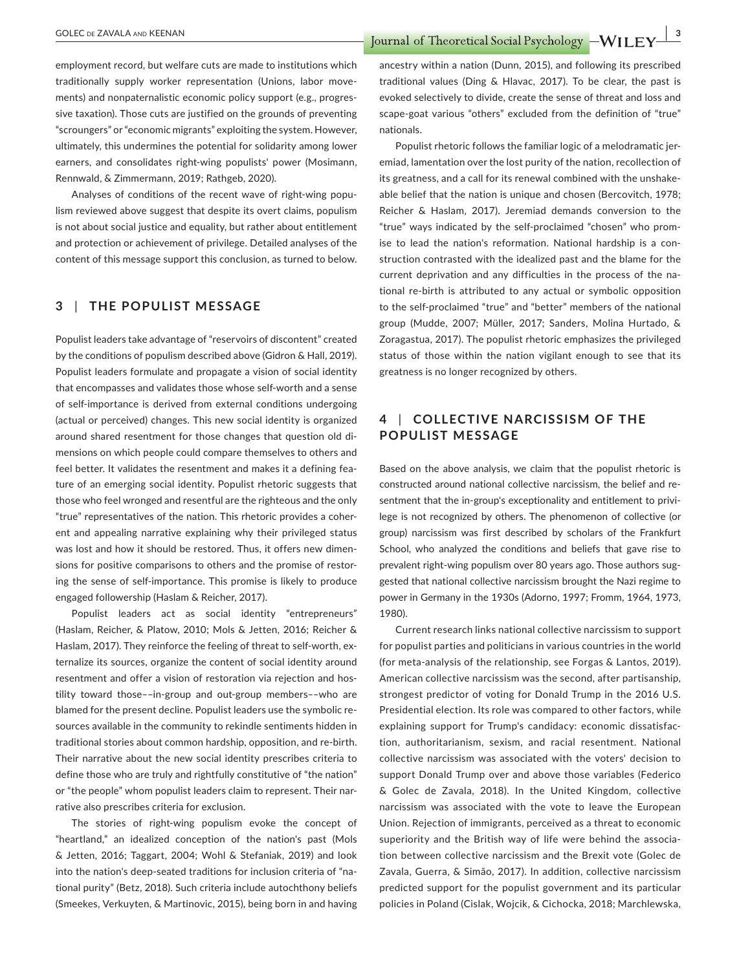**COLEC** DE ZAVALA AND KEENAN<br> **EXAMPLE PORT AND KEENAN** 

employment record, but welfare cuts are made to institutions which traditionally supply worker representation (Unions, labor movements) and nonpaternalistic economic policy support (e.g., progressive taxation). Those cuts are justified on the grounds of preventing "scroungers" or "economic migrants" exploiting the system. However, ultimately, this undermines the potential for solidarity among lower earners, and consolidates right-wing populists' power (Mosimann, Rennwald, & Zimmermann, 2019; Rathgeb, 2020).

Analyses of conditions of the recent wave of right-wing populism reviewed above suggest that despite its overt claims, populism is not about social justice and equality, but rather about entitlement and protection or achievement of privilege. Detailed analyses of the content of this message support this conclusion, as turned to below.

### **3** | **THE POPULIST MESSAGE**

Populist leaders take advantage of "reservoirs of discontent" created by the conditions of populism described above (Gidron & Hall, 2019). Populist leaders formulate and propagate a vision of social identity that encompasses and validates those whose self-worth and a sense of self-importance is derived from external conditions undergoing (actual or perceived) changes. This new social identity is organized around shared resentment for those changes that question old dimensions on which people could compare themselves to others and feel better. It validates the resentment and makes it a defining feature of an emerging social identity. Populist rhetoric suggests that those who feel wronged and resentful are the righteous and the only "true" representatives of the nation. This rhetoric provides a coherent and appealing narrative explaining why their privileged status was lost and how it should be restored. Thus, it offers new dimensions for positive comparisons to others and the promise of restoring the sense of self-importance. This promise is likely to produce engaged followership (Haslam & Reicher, 2017).

Populist leaders act as social identity "entrepreneurs" (Haslam, Reicher, & Platow, 2010; Mols & Jetten, 2016; Reicher & Haslam, 2017). They reinforce the feeling of threat to self-worth, externalize its sources, organize the content of social identity around resentment and offer a vision of restoration via rejection and hostility toward those––in-group and out-group members––who are blamed for the present decline. Populist leaders use the symbolic resources available in the community to rekindle sentiments hidden in traditional stories about common hardship, opposition, and re-birth. Their narrative about the new social identity prescribes criteria to define those who are truly and rightfully constitutive of "the nation" or "the people" whom populist leaders claim to represent. Their narrative also prescribes criteria for exclusion.

The stories of right-wing populism evoke the concept of "heartland," an idealized conception of the nation's past (Mols & Jetten, 2016; Taggart, 2004; Wohl & Stefaniak, 2019) and look into the nation's deep-seated traditions for inclusion criteria of "national purity" (Betz, 2018). Such criteria include autochthony beliefs (Smeekes, Verkuyten, & Martinovic, 2015), being born in and having

ancestry within a nation (Dunn, 2015), and following its prescribed traditional values (Ding & Hlavac, 2017). To be clear, the past is evoked selectively to divide, create the sense of threat and loss and scape-goat various "others" excluded from the definition of "true" nationals.

Populist rhetoric follows the familiar logic of a melodramatic jeremiad, lamentation over the lost purity of the nation, recollection of its greatness, and a call for its renewal combined with the unshakeable belief that the nation is unique and chosen (Bercovitch, 1978; Reicher & Haslam, 2017). Jeremiad demands conversion to the "true" ways indicated by the self-proclaimed "chosen" who promise to lead the nation's reformation. National hardship is a construction contrasted with the idealized past and the blame for the current deprivation and any difficulties in the process of the national re-birth is attributed to any actual or symbolic opposition to the self-proclaimed "true" and "better" members of the national group (Mudde, 2007; Müller, 2017; Sanders, Molina Hurtado, & Zoragastua, 2017). The populist rhetoric emphasizes the privileged status of those within the nation vigilant enough to see that its greatness is no longer recognized by others.

## **4** | **COLLEC TIVE NARCISSISM OF THE POPULIST MESSAGE**

Based on the above analysis, we claim that the populist rhetoric is constructed around national collective narcissism, the belief and resentment that the in-group's exceptionality and entitlement to privilege is not recognized by others. The phenomenon of collective (or group) narcissism was first described by scholars of the Frankfurt School, who analyzed the conditions and beliefs that gave rise to prevalent right-wing populism over 80 years ago. Those authors suggested that national collective narcissism brought the Nazi regime to power in Germany in the 1930s (Adorno, 1997; Fromm, 1964, 1973, 1980).

Current research links national collective narcissism to support for populist parties and politicians in various countries in the world (for meta-analysis of the relationship, see Forgas & Lantos, 2019). American collective narcissism was the second, after partisanship, strongest predictor of voting for Donald Trump in the 2016 U.S. Presidential election. Its role was compared to other factors, while explaining support for Trump's candidacy: economic dissatisfaction, authoritarianism, sexism, and racial resentment. National collective narcissism was associated with the voters' decision to support Donald Trump over and above those variables (Federico & Golec de Zavala, 2018). In the United Kingdom, collective narcissism was associated with the vote to leave the European Union. Rejection of immigrants, perceived as a threat to economic superiority and the British way of life were behind the association between collective narcissism and the Brexit vote (Golec de Zavala, Guerra, & Simão, 2017). In addition, collective narcissism predicted support for the populist government and its particular policies in Poland (Cislak, Wojcik, & Cichocka, 2018; Marchlewska,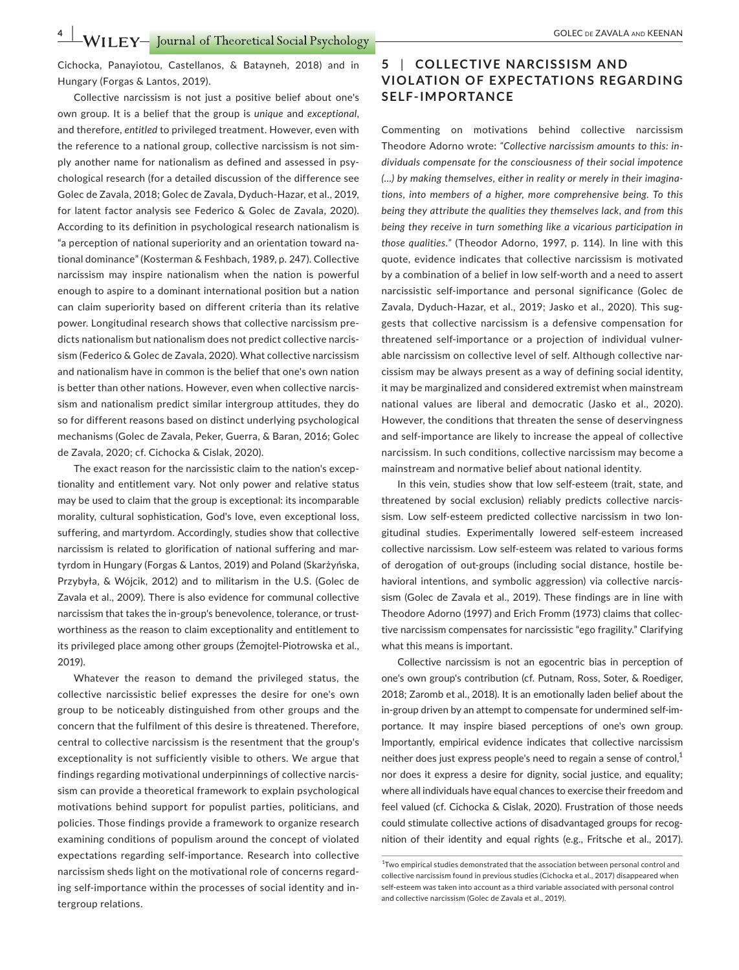**4 • WILEY** Journal of Theoretical Social Psychology – GOLEC DE ZAVALA AND KEENAN

Cichocka, Panayiotou, Castellanos, & Batayneh, 2018) and in Hungary (Forgas & Lantos, 2019).

Collective narcissism is not just a positive belief about one's own group. It is a belief that the group is *unique* and *exceptional*, and therefore, *entitled* to privileged treatment. However, even with the reference to a national group, collective narcissism is not simply another name for nationalism as defined and assessed in psychological research (for a detailed discussion of the difference see Golec de Zavala, 2018; Golec de Zavala, Dyduch-Hazar, et al., 2019, for latent factor analysis see Federico & Golec de Zavala, 2020). According to its definition in psychological research nationalism is "a perception of national superiority and an orientation toward national dominance" (Kosterman & Feshbach, 1989, p. 247). Collective narcissism may inspire nationalism when the nation is powerful enough to aspire to a dominant international position but a nation can claim superiority based on different criteria than its relative power. Longitudinal research shows that collective narcissism predicts nationalism but nationalism does not predict collective narcissism (Federico & Golec de Zavala, 2020). What collective narcissism and nationalism have in common is the belief that one's own nation is better than other nations. However, even when collective narcissism and nationalism predict similar intergroup attitudes, they do so for different reasons based on distinct underlying psychological mechanisms (Golec de Zavala, Peker, Guerra, & Baran, 2016; Golec de Zavala, 2020; cf. Cichocka & Cislak, 2020).

The exact reason for the narcissistic claim to the nation's exceptionality and entitlement vary. Not only power and relative status may be used to claim that the group is exceptional: its incomparable morality, cultural sophistication, God's love, even exceptional loss, suffering, and martyrdom. Accordingly, studies show that collective narcissism is related to glorification of national suffering and martyrdom in Hungary (Forgas & Lantos, 2019) and Poland (Skarżyńska, Przybyła, & Wójcik, 2012) and to militarism in the U.S. (Golec de Zavala et al., 2009). There is also evidence for communal collective narcissism that takes the in-group's benevolence, tolerance, or trustworthiness as the reason to claim exceptionality and entitlement to its privileged place among other groups (Żemojtel-Piotrowska et al., 2019).

Whatever the reason to demand the privileged status, the collective narcissistic belief expresses the desire for one's own group to be noticeably distinguished from other groups and the concern that the fulfilment of this desire is threatened. Therefore, central to collective narcissism is the resentment that the group's exceptionality is not sufficiently visible to others. We argue that findings regarding motivational underpinnings of collective narcissism can provide a theoretical framework to explain psychological motivations behind support for populist parties, politicians, and policies. Those findings provide a framework to organize research examining conditions of populism around the concept of violated expectations regarding self-importance. Research into collective narcissism sheds light on the motivational role of concerns regarding self-importance within the processes of social identity and intergroup relations.

## **5** | **COLLEC TIVE NARCISSISM AND VIOL ATION OF E XPEC TATIONS REGARDING SELF-IMPORTANCE**

Commenting on motivations behind collective narcissism Theodore Adorno wrote: *"Collective narcissism amounts to this: individuals compensate for the consciousness of their social impotence (…) by making themselves, either in reality or merely in their imaginations, into members of a higher, more comprehensive being. To this being they attribute the qualities they themselves lack, and from this being they receive in turn something like a vicarious participation in those qualities."* (Theodor Adorno, 1997, p. 114). In line with this quote, evidence indicates that collective narcissism is motivated by a combination of a belief in low self-worth and a need to assert narcissistic self-importance and personal significance (Golec de Zavala, Dyduch-Hazar, et al., 2019; Jasko et al., 2020). This suggests that collective narcissism is a defensive compensation for threatened self-importance or a projection of individual vulnerable narcissism on collective level of self. Although collective narcissism may be always present as a way of defining social identity, it may be marginalized and considered extremist when mainstream national values are liberal and democratic (Jasko et al., 2020). However, the conditions that threaten the sense of deservingness and self-importance are likely to increase the appeal of collective narcissism. In such conditions, collective narcissism may become a mainstream and normative belief about national identity.

In this vein, studies show that low self-esteem (trait, state, and threatened by social exclusion) reliably predicts collective narcissism. Low self-esteem predicted collective narcissism in two longitudinal studies. Experimentally lowered self-esteem increased collective narcissism. Low self-esteem was related to various forms of derogation of out-groups (including social distance, hostile behavioral intentions, and symbolic aggression) via collective narcissism (Golec de Zavala et al., 2019). These findings are in line with Theodore Adorno (1997) and Erich Fromm (1973) claims that collective narcissism compensates for narcissistic "ego fragility." Clarifying what this means is important.

Collective narcissism is not an egocentric bias in perception of one's own group's contribution (cf. Putnam, Ross, Soter, & Roediger, 2018; Zaromb et al., 2018). It is an emotionally laden belief about the in-group driven by an attempt to compensate for undermined self-importance. It may inspire biased perceptions of one's own group. Importantly, empirical evidence indicates that collective narcissism neither does just express people's need to regain a sense of control, $<sup>1</sup>$ </sup> nor does it express a desire for dignity, social justice, and equality; where all individuals have equal chances to exercise their freedom and feel valued (cf. Cichocka & Cislak, 2020). Frustration of those needs could stimulate collective actions of disadvantaged groups for recognition of their identity and equal rights (e.g., Fritsche et al., 2017).

<sup>&</sup>lt;sup>1</sup>Two empirical studies demonstrated that the association between personal control and collective narcissism found in previous studies (Cichocka et al., 2017) disappeared when self-esteem was taken into account as a third variable associated with personal control and collective narcissism (Golec de Zavala et al., 2019).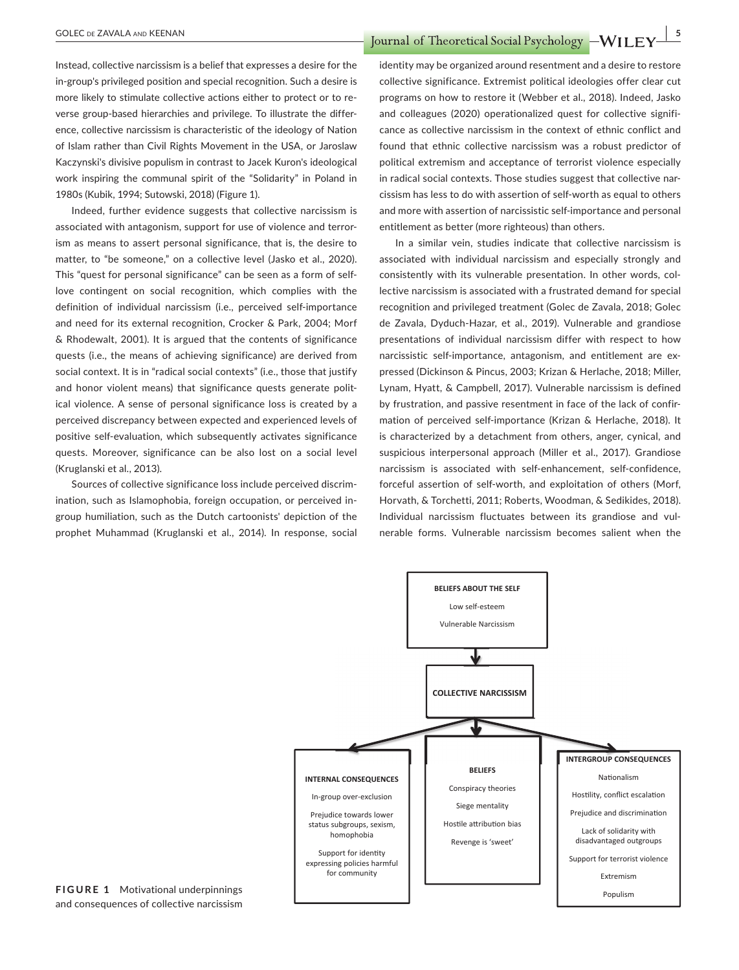**COLEC** DE ZAVALA AND KEENAN<br> **EXAMPLE 1 I** *COLEC* DE ZAVALA AND KEENAN

Instead, collective narcissism is a belief that expresses a desire for the in-group's privileged position and special recognition. Such a desire is more likely to stimulate collective actions either to protect or to reverse group-based hierarchies and privilege. To illustrate the difference, collective narcissism is characteristic of the ideology of Nation of Islam rather than Civil Rights Movement in the USA, or Jaroslaw Kaczynski's divisive populism in contrast to Jacek Kuron's ideological work inspiring the communal spirit of the "Solidarity" in Poland in 1980s (Kubik, 1994; Sutowski, 2018) (Figure 1).

Indeed, further evidence suggests that collective narcissism is associated with antagonism, support for use of violence and terrorism as means to assert personal significance, that is, the desire to matter, to "be someone," on a collective level (Jasko et al., 2020). This "quest for personal significance" can be seen as a form of selflove contingent on social recognition, which complies with the definition of individual narcissism (i.e., perceived self-importance and need for its external recognition, Crocker & Park, 2004; Morf & Rhodewalt, 2001). It is argued that the contents of significance quests (i.e., the means of achieving significance) are derived from social context. It is in "radical social contexts" (i.e., those that justify and honor violent means) that significance quests generate political violence. A sense of personal significance loss is created by a perceived discrepancy between expected and experienced levels of positive self-evaluation, which subsequently activates significance quests. Moreover, significance can be also lost on a social level (Kruglanski et al., 2013).

Sources of collective significance loss include perceived discrimination, such as Islamophobia, foreign occupation, or perceived ingroup humiliation, such as the Dutch cartoonists' depiction of the prophet Muhammad (Kruglanski et al., 2014). In response, social identity may be organized around resentment and a desire to restore collective significance. Extremist political ideologies offer clear cut programs on how to restore it (Webber et al., 2018). Indeed, Jasko and colleagues (2020) operationalized quest for collective significance as collective narcissism in the context of ethnic conflict and found that ethnic collective narcissism was a robust predictor of political extremism and acceptance of terrorist violence especially in radical social contexts. Those studies suggest that collective narcissism has less to do with assertion of self-worth as equal to others and more with assertion of narcissistic self-importance and personal entitlement as better (more righteous) than others.

In a similar vein, studies indicate that collective narcissism is associated with individual narcissism and especially strongly and consistently with its vulnerable presentation. In other words, collective narcissism is associated with a frustrated demand for special recognition and privileged treatment (Golec de Zavala, 2018; Golec de Zavala, Dyduch-Hazar, et al., 2019). Vulnerable and grandiose presentations of individual narcissism differ with respect to how narcissistic self-importance, antagonism, and entitlement are expressed (Dickinson & Pincus, 2003; Krizan & Herlache, 2018; Miller, Lynam, Hyatt, & Campbell, 2017). Vulnerable narcissism is defined by frustration, and passive resentment in face of the lack of confirmation of perceived self-importance (Krizan & Herlache, 2018). It is characterized by a detachment from others, anger, cynical, and suspicious interpersonal approach (Miller et al., 2017). Grandiose narcissism is associated with self-enhancement, self-confidence, forceful assertion of self-worth, and exploitation of others (Morf, Horvath, & Torchetti, 2011; Roberts, Woodman, & Sedikides, 2018). Individual narcissism fluctuates between its grandiose and vulnerable forms. Vulnerable narcissism becomes salient when the



**FIGURE 1** Motivational underpinnings and consequences of collective narcissism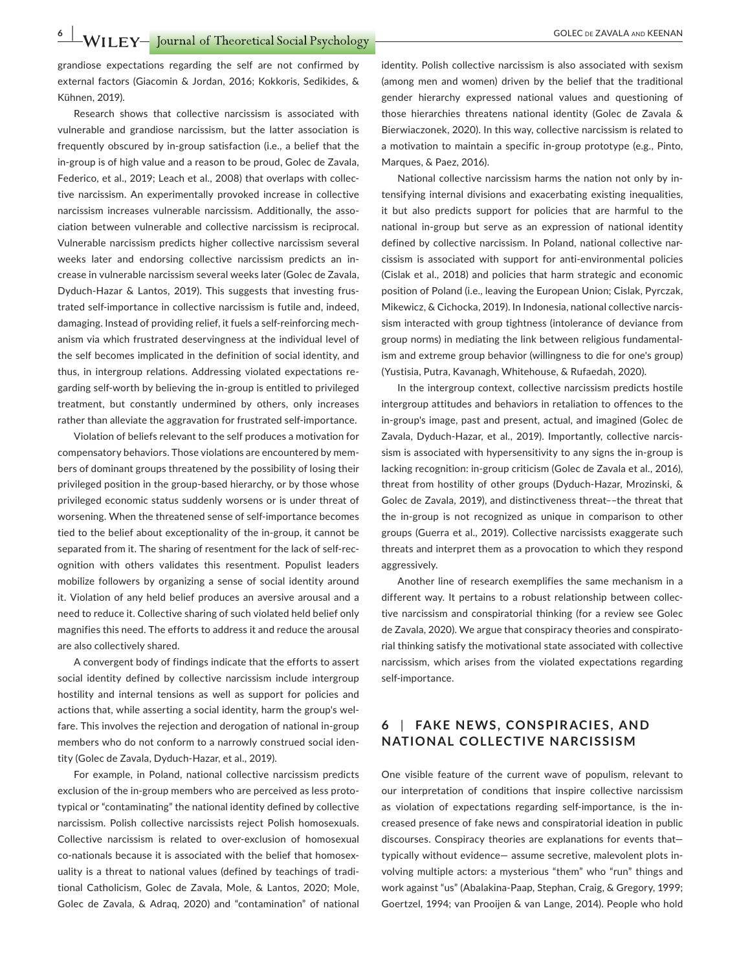grandiose expectations regarding the self are not confirmed by external factors (Giacomin & Jordan, 2016; Kokkoris, Sedikides, & Kühnen, 2019).

Research shows that collective narcissism is associated with vulnerable and grandiose narcissism, but the latter association is frequently obscured by in-group satisfaction (i.e., a belief that the in-group is of high value and a reason to be proud, Golec de Zavala, Federico, et al., 2019; Leach et al., 2008) that overlaps with collective narcissism. An experimentally provoked increase in collective narcissism increases vulnerable narcissism. Additionally, the association between vulnerable and collective narcissism is reciprocal. Vulnerable narcissism predicts higher collective narcissism several weeks later and endorsing collective narcissism predicts an increase in vulnerable narcissism several weeks later (Golec de Zavala, Dyduch-Hazar & Lantos, 2019). This suggests that investing frustrated self-importance in collective narcissism is futile and, indeed, damaging. Instead of providing relief, it fuels a self-reinforcing mechanism via which frustrated deservingness at the individual level of the self becomes implicated in the definition of social identity, and thus, in intergroup relations. Addressing violated expectations regarding self-worth by believing the in-group is entitled to privileged treatment, but constantly undermined by others, only increases rather than alleviate the aggravation for frustrated self-importance.

Violation of beliefs relevant to the self produces a motivation for compensatory behaviors. Those violations are encountered by members of dominant groups threatened by the possibility of losing their privileged position in the group-based hierarchy, or by those whose privileged economic status suddenly worsens or is under threat of worsening. When the threatened sense of self-importance becomes tied to the belief about exceptionality of the in-group, it cannot be separated from it. The sharing of resentment for the lack of self-recognition with others validates this resentment. Populist leaders mobilize followers by organizing a sense of social identity around it. Violation of any held belief produces an aversive arousal and a need to reduce it. Collective sharing of such violated held belief only magnifies this need. The efforts to address it and reduce the arousal are also collectively shared.

A convergent body of findings indicate that the efforts to assert social identity defined by collective narcissism include intergroup hostility and internal tensions as well as support for policies and actions that, while asserting a social identity, harm the group's welfare. This involves the rejection and derogation of national in-group members who do not conform to a narrowly construed social identity (Golec de Zavala, Dyduch-Hazar, et al., 2019).

For example, in Poland, national collective narcissism predicts exclusion of the in-group members who are perceived as less prototypical or "contaminating" the national identity defined by collective narcissism. Polish collective narcissists reject Polish homosexuals. Collective narcissism is related to over-exclusion of homosexual co-nationals because it is associated with the belief that homosexuality is a threat to national values (defined by teachings of traditional Catholicism, Golec de Zavala, Mole, & Lantos, 2020; Mole, Golec de Zavala, & Adraq, 2020) and "contamination" of national

identity. Polish collective narcissism is also associated with sexism (among men and women) driven by the belief that the traditional gender hierarchy expressed national values and questioning of those hierarchies threatens national identity (Golec de Zavala & Bierwiaczonek, 2020). In this way, collective narcissism is related to a motivation to maintain a specific in-group prototype (e.g., Pinto, Marques, & Paez, 2016).

National collective narcissism harms the nation not only by intensifying internal divisions and exacerbating existing inequalities, it but also predicts support for policies that are harmful to the national in-group but serve as an expression of national identity defined by collective narcissism. In Poland, national collective narcissism is associated with support for anti-environmental policies (Cislak et al., 2018) and policies that harm strategic and economic position of Poland (i.e., leaving the European Union; Cislak, Pyrczak, Mikewicz, & Cichocka, 2019). In Indonesia, national collective narcissism interacted with group tightness (intolerance of deviance from group norms) in mediating the link between religious fundamentalism and extreme group behavior (willingness to die for one's group) (Yustisia, Putra, Kavanagh, Whitehouse, & Rufaedah, 2020).

In the intergroup context, collective narcissism predicts hostile intergroup attitudes and behaviors in retaliation to offences to the in-group's image, past and present, actual, and imagined (Golec de Zavala, Dyduch-Hazar, et al., 2019). Importantly, collective narcissism is associated with hypersensitivity to any signs the in-group is lacking recognition: in-group criticism (Golec de Zavala et al., 2016), threat from hostility of other groups (Dyduch-Hazar, Mrozinski, & Golec de Zavala, 2019), and distinctiveness threat––the threat that the in-group is not recognized as unique in comparison to other groups (Guerra et al., 2019). Collective narcissists exaggerate such threats and interpret them as a provocation to which they respond aggressively.

Another line of research exemplifies the same mechanism in a different way. It pertains to a robust relationship between collective narcissism and conspiratorial thinking (for a review see Golec de Zavala, 2020). We argue that conspiracy theories and conspiratorial thinking satisfy the motivational state associated with collective narcissism, which arises from the violated expectations regarding self-importance.

## **6** | **FAKE NEWS, CONSPIR ACIES, AND NATIONAL COLLECTIVE NARCISSISM**

One visible feature of the current wave of populism, relevant to our interpretation of conditions that inspire collective narcissism as violation of expectations regarding self-importance, is the increased presence of fake news and conspiratorial ideation in public discourses. Conspiracy theories are explanations for events that typically without evidence— assume secretive, malevolent plots involving multiple actors: a mysterious "them" who "run" things and work against "us" (Abalakina-Paap, Stephan, Craig, & Gregory, 1999; Goertzel, 1994; van Prooijen & van Lange, 2014). People who hold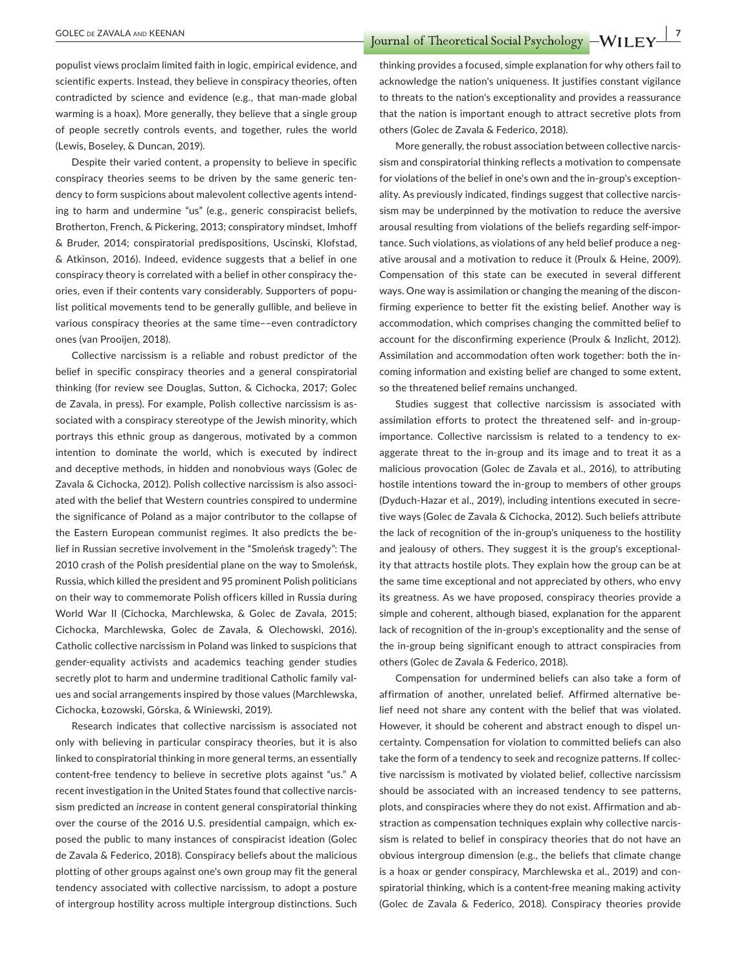**EXAVALA AND KEENAN** *COLEC DE ZAVALA AND KEENAN* 

populist views proclaim limited faith in logic, empirical evidence, and scientific experts. Instead, they believe in conspiracy theories, often contradicted by science and evidence (e.g., that man-made global warming is a hoax). More generally, they believe that a single group of people secretly controls events, and together, rules the world (Lewis, Boseley, & Duncan, 2019).

Despite their varied content, a propensity to believe in specific conspiracy theories seems to be driven by the same generic tendency to form suspicions about malevolent collective agents intending to harm and undermine "us" (e.g., generic conspiracist beliefs, Brotherton, French, & Pickering, 2013; conspiratory mindset, Imhoff & Bruder, 2014; conspiratorial predispositions, Uscinski, Klofstad, & Atkinson, 2016). Indeed, evidence suggests that a belief in one conspiracy theory is correlated with a belief in other conspiracy theories, even if their contents vary considerably. Supporters of populist political movements tend to be generally gullible, and believe in various conspiracy theories at the same time––even contradictory ones (van Prooijen, 2018).

Collective narcissism is a reliable and robust predictor of the belief in specific conspiracy theories and a general conspiratorial thinking (for review see Douglas, Sutton, & Cichocka, 2017; Golec de Zavala, in press). For example, Polish collective narcissism is associated with a conspiracy stereotype of the Jewish minority, which portrays this ethnic group as dangerous, motivated by a common intention to dominate the world, which is executed by indirect and deceptive methods, in hidden and nonobvious ways (Golec de Zavala & Cichocka, 2012). Polish collective narcissism is also associated with the belief that Western countries conspired to undermine the significance of Poland as a major contributor to the collapse of the Eastern European communist regimes. It also predicts the belief in Russian secretive involvement in the "Smoleńsk tragedy": The 2010 crash of the Polish presidential plane on the way to Smoleńsk, Russia, which killed the president and 95 prominent Polish politicians on their way to commemorate Polish officers killed in Russia during World War II (Cichocka, Marchlewska, & Golec de Zavala, 2015; Cichocka, Marchlewska, Golec de Zavala, & Olechowski, 2016). Catholic collective narcissism in Poland was linked to suspicions that gender-equality activists and academics teaching gender studies secretly plot to harm and undermine traditional Catholic family values and social arrangements inspired by those values (Marchlewska, Cichocka, Łozowski, Górska, & Winiewski, 2019).

Research indicates that collective narcissism is associated not only with believing in particular conspiracy theories, but it is also linked to conspiratorial thinking in more general terms, an essentially content-free tendency to believe in secretive plots against "us." A recent investigation in the United States found that collective narcissism predicted an *increase* in content general conspiratorial thinking over the course of the 2016 U.S. presidential campaign, which exposed the public to many instances of conspiracist ideation (Golec de Zavala & Federico, 2018). Conspiracy beliefs about the malicious plotting of other groups against one's own group may fit the general tendency associated with collective narcissism, to adopt a posture of intergroup hostility across multiple intergroup distinctions. Such

thinking provides a focused, simple explanation for why others fail to acknowledge the nation's uniqueness. It justifies constant vigilance to threats to the nation's exceptionality and provides a reassurance that the nation is important enough to attract secretive plots from others (Golec de Zavala & Federico, 2018).

More generally, the robust association between collective narcissism and conspiratorial thinking reflects a motivation to compensate for violations of the belief in one's own and the in-group's exceptionality. As previously indicated, findings suggest that collective narcissism may be underpinned by the motivation to reduce the aversive arousal resulting from violations of the beliefs regarding self-importance. Such violations, as violations of any held belief produce a negative arousal and a motivation to reduce it (Proulx & Heine, 2009). Compensation of this state can be executed in several different ways. One way is assimilation or changing the meaning of the disconfirming experience to better fit the existing belief. Another way is accommodation, which comprises changing the committed belief to account for the disconfirming experience (Proulx & Inzlicht, 2012). Assimilation and accommodation often work together: both the incoming information and existing belief are changed to some extent, so the threatened belief remains unchanged.

Studies suggest that collective narcissism is associated with assimilation efforts to protect the threatened self- and in-groupimportance. Collective narcissism is related to a tendency to exaggerate threat to the in-group and its image and to treat it as a malicious provocation (Golec de Zavala et al., 2016), to attributing hostile intentions toward the in-group to members of other groups (Dyduch-Hazar et al., 2019), including intentions executed in secretive ways (Golec de Zavala & Cichocka, 2012). Such beliefs attribute the lack of recognition of the in-group's uniqueness to the hostility and jealousy of others. They suggest it is the group's exceptionality that attracts hostile plots. They explain how the group can be at the same time exceptional and not appreciated by others, who envy its greatness. As we have proposed, conspiracy theories provide a simple and coherent, although biased, explanation for the apparent lack of recognition of the in-group's exceptionality and the sense of the in-group being significant enough to attract conspiracies from others (Golec de Zavala & Federico, 2018).

Compensation for undermined beliefs can also take a form of affirmation of another, unrelated belief. Affirmed alternative belief need not share any content with the belief that was violated. However, it should be coherent and abstract enough to dispel uncertainty. Compensation for violation to committed beliefs can also take the form of a tendency to seek and recognize patterns. If collective narcissism is motivated by violated belief, collective narcissism should be associated with an increased tendency to see patterns, plots, and conspiracies where they do not exist. Affirmation and abstraction as compensation techniques explain why collective narcissism is related to belief in conspiracy theories that do not have an obvious intergroup dimension (e.g., the beliefs that climate change is a hoax or gender conspiracy, Marchlewska et al., 2019) and conspiratorial thinking, which is a content-free meaning making activity (Golec de Zavala & Federico, 2018). Conspiracy theories provide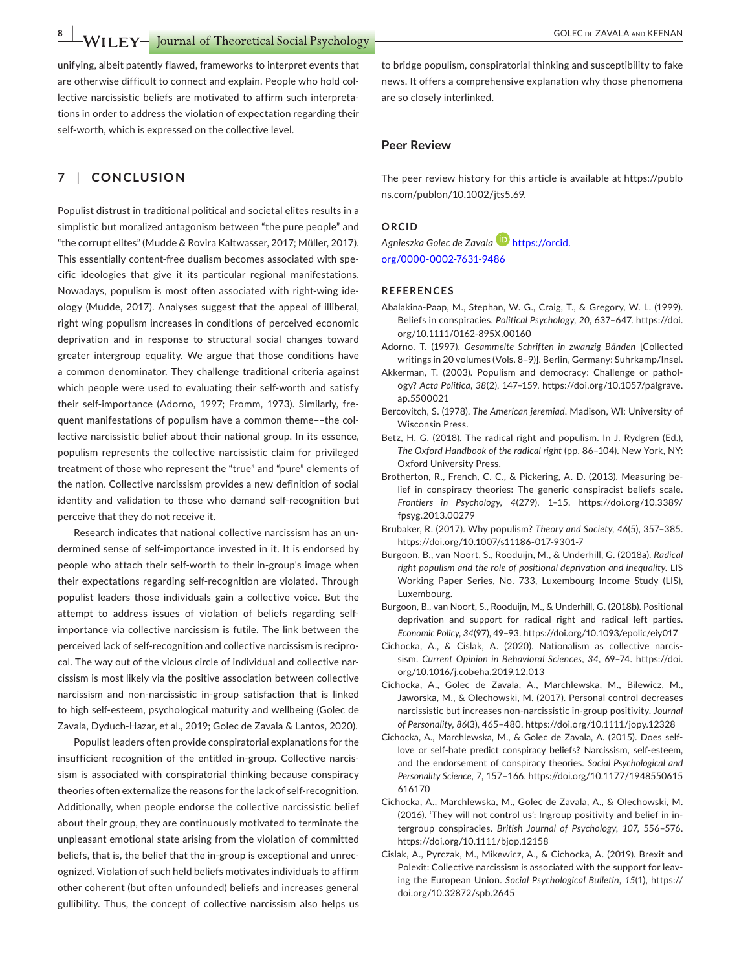**WILEY FOLEC** DE ZAVALA AND KEENAN **WILEY** *GOLEC* DE ZAVALA AND KEENAN

unifying, albeit patently flawed, frameworks to interpret events that are otherwise difficult to connect and explain. People who hold collective narcissistic beliefs are motivated to affirm such interpretations in order to address the violation of expectation regarding their self-worth, which is expressed on the collective level.

#### **7** | **CONCLUSION**

Populist distrust in traditional political and societal elites results in a simplistic but moralized antagonism between "the pure people" and "the corrupt elites" (Mudde & Rovira Kaltwasser, 2017; Müller, 2017). This essentially content-free dualism becomes associated with specific ideologies that give it its particular regional manifestations. Nowadays, populism is most often associated with right-wing ideology (Mudde, 2017). Analyses suggest that the appeal of illiberal, right wing populism increases in conditions of perceived economic deprivation and in response to structural social changes toward greater intergroup equality. We argue that those conditions have a common denominator. They challenge traditional criteria against which people were used to evaluating their self-worth and satisfy their self-importance (Adorno, 1997; Fromm, 1973). Similarly, frequent manifestations of populism have a common theme––the collective narcissistic belief about their national group. In its essence, populism represents the collective narcissistic claim for privileged treatment of those who represent the "true" and "pure" elements of the nation. Collective narcissism provides a new definition of social identity and validation to those who demand self-recognition but perceive that they do not receive it.

Research indicates that national collective narcissism has an undermined sense of self-importance invested in it. It is endorsed by people who attach their self-worth to their in-group's image when their expectations regarding self-recognition are violated. Through populist leaders those individuals gain a collective voice. But the attempt to address issues of violation of beliefs regarding selfimportance via collective narcissism is futile. The link between the perceived lack of self-recognition and collective narcissism is reciprocal. The way out of the vicious circle of individual and collective narcissism is most likely via the positive association between collective narcissism and non-narcissistic in-group satisfaction that is linked to high self-esteem, psychological maturity and wellbeing (Golec de Zavala, Dyduch-Hazar, et al., 2019; Golec de Zavala & Lantos, 2020).

Populist leaders often provide conspiratorial explanations for the insufficient recognition of the entitled in-group. Collective narcissism is associated with conspiratorial thinking because conspiracy theories often externalize the reasons for the lack of self-recognition. Additionally, when people endorse the collective narcissistic belief about their group, they are continuously motivated to terminate the unpleasant emotional state arising from the violation of committed beliefs, that is, the belief that the in-group is exceptional and unrecognized. Violation of such held beliefs motivates individuals to affirm other coherent (but often unfounded) beliefs and increases general gullibility. Thus, the concept of collective narcissism also helps us

to bridge populism, conspiratorial thinking and susceptibility to fake news. It offers a comprehensive explanation why those phenomena are so closely interlinked.

#### **Peer Review**

The peer review history for this article is available at [https://publo](https://publons.com/publon/10.1002/jts5.69) [ns.com/publon/10.1002/jts5.69](https://publons.com/publon/10.1002/jts5.69).

#### **ORCID**

*Agnieszka Golec de Zavala* [https://orcid.](https://orcid.org/0000-0002-7631-9486) [org/0000-0002-7631-9486](https://orcid.org/0000-0002-7631-9486)

#### **REFERENCES**

- Abalakina-Paap, M., Stephan, W. G., Craig, T., & Gregory, W. L. (1999). Beliefs in conspiracies. *Political Psychology*, *20*, 637–647. [https://doi.](https://doi.org/10.1111/0162-895X.00160) [org/10.1111/0162-895X.00160](https://doi.org/10.1111/0162-895X.00160)
- Adorno, T. (1997). *Gesammelte Schriften in zwanzig Bänden* [Collected writings in 20 volumes (Vols. 8–9)]. Berlin, Germany: Suhrkamp/Insel.
- Akkerman, T. (2003). Populism and democracy: Challenge or pathology? *Acta Politica*, *38*(2), 147–159. [https://doi.org/10.1057/palgrave.](https://doi.org/10.1057/palgrave.ap.5500021) [ap.5500021](https://doi.org/10.1057/palgrave.ap.5500021)
- Bercovitch, S. (1978). *The American jeremiad*. Madison, WI: University of Wisconsin Press.
- Betz, H. G. (2018). The radical right and populism. In J. Rydgren (Ed.), *The Oxford Handbook of the radical right* (pp. 86–104). New York, NY: Oxford University Press.
- Brotherton, R., French, C. C., & Pickering, A. D. (2013). Measuring belief in conspiracy theories: The generic conspiracist beliefs scale. *Frontiers in Psychology*, *4*(279), 1–15. [https://doi.org/10.3389/](https://doi.org/10.3389/fpsyg.2013.00279) [fpsyg.2013.00279](https://doi.org/10.3389/fpsyg.2013.00279)
- Brubaker, R. (2017). Why populism? *Theory and Society*, *46*(5), 357–385. <https://doi.org/10.1007/s11186-017-9301-7>
- Burgoon, B., van Noort, S., Rooduijn, M., & Underhill, G. (2018a). *Radical right populism and the role of positional deprivation and inequality*. LIS Working Paper Series, No. 733, Luxembourg Income Study (LIS), Luxembourg.
- Burgoon, B., van Noort, S., Rooduijn, M., & Underhill, G. (2018b). Positional deprivation and support for radical right and radical left parties. *Economic Policy*, *34*(97), 49–93. <https://doi.org/10.1093/epolic/eiy017>
- Cichocka, A., & Cislak, A. (2020). Nationalism as collective narcissism. *Current Opinion in Behavioral Sciences*, *34*, 69–74. [https://doi.](https://doi.org/10.1016/j.cobeha.2019.12.013) [org/10.1016/j.cobeha.2019.12.013](https://doi.org/10.1016/j.cobeha.2019.12.013)
- Cichocka, A., Golec de Zavala, A., Marchlewska, M., Bilewicz, M., Jaworska, M., & Olechowski, M. (2017). Personal control decreases narcissistic but increases non-narcissistic in-group positivity. *Journal of Personality*, *86*(3), 465–480. <https://doi.org/10.1111/jopy.12328>
- Cichocka, A., Marchlewska, M., & Golec de Zavala, A. (2015). Does selflove or self-hate predict conspiracy beliefs? Narcissism, self-esteem, and the endorsement of conspiracy theories. *Social Psychological and Personality Science*, *7*, 157–166. [https://doi.org/10.1177/1948550615](https://doi.org/10.1177/1948550615616170) [616170](https://doi.org/10.1177/1948550615616170)
- Cichocka, A., Marchlewska, M., Golec de Zavala, A., & Olechowski, M. (2016). 'They will not control us': Ingroup positivity and belief in intergroup conspiracies. *British Journal of Psychology*, *107*, 556–576. <https://doi.org/10.1111/bjop.12158>
- Cislak, A., Pyrczak, M., Mikewicz, A., & Cichocka, A. (2019). Brexit and Polexit: Collective narcissism is associated with the support for leaving the European Union. *Social Psychological Bulletin*, *15*(1), [https://](https://doi.org/10.32872/spb.2645) [doi.org/10.32872/spb.2645](https://doi.org/10.32872/spb.2645)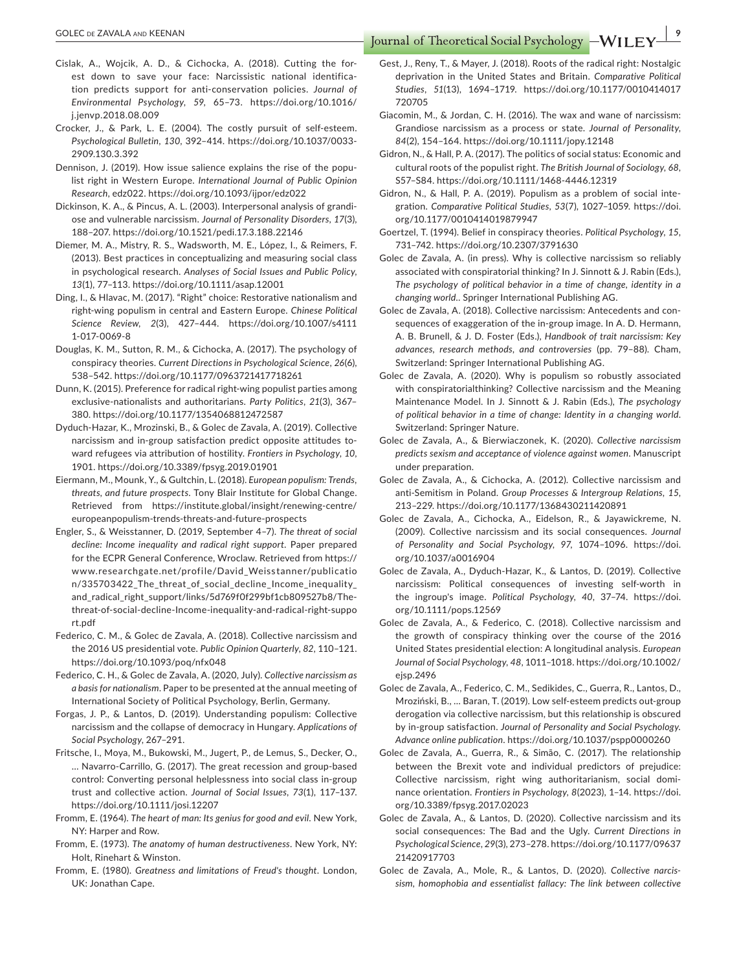- Cislak, A., Wojcik, A. D., & Cichocka, A. (2018). Cutting the forest down to save your face: Narcissistic national identification predicts support for anti-conservation policies. *Journal of Environmental Psychology*, *59*, 65–73. [https://doi.org/10.1016/](https://doi.org/10.1016/j.jenvp.2018.08.009) [j.jenvp.2018.08.009](https://doi.org/10.1016/j.jenvp.2018.08.009)
- Crocker, J., & Park, L. E. (2004). The costly pursuit of self-esteem. *Psychological Bulletin*, *130*, 392–414. [https://doi.org/10.1037/0033-](https://doi.org/10.1037/0033-2909.130.3.392) [2909.130.3.392](https://doi.org/10.1037/0033-2909.130.3.392)
- Dennison, J. (2019). How issue salience explains the rise of the populist right in Western Europe. *International Journal of Public Opinion Research*, edz022. <https://doi.org/10.1093/ijpor/edz022>
- Dickinson, K. A., & Pincus, A. L. (2003). Interpersonal analysis of grandiose and vulnerable narcissism. *Journal of Personality Disorders*, *17*(3), 188–207.<https://doi.org/10.1521/pedi.17.3.188.22146>
- Diemer, M. A., Mistry, R. S., Wadsworth, M. E., López, I., & Reimers, F. (2013). Best practices in conceptualizing and measuring social class in psychological research. *Analyses of Social Issues and Public Policy*, *13*(1), 77–113. <https://doi.org/10.1111/asap.12001>
- Ding, I., & Hlavac, M. (2017). "Right" choice: Restorative nationalism and right-wing populism in central and Eastern Europe. *Chinese Political Science Review*, *2*(3), 427–444. [https://doi.org/10.1007/s4111](https://doi.org/10.1007/s41111-017-0069-8) [1-017-0069-8](https://doi.org/10.1007/s41111-017-0069-8)
- Douglas, K. M., Sutton, R. M., & Cichocka, A. (2017). The psychology of conspiracy theories. *Current Directions in Psychological Science*, *26*(6), 538–542.<https://doi.org/10.1177/0963721417718261>
- Dunn, K. (2015). Preference for radical right-wing populist parties among exclusive-nationalists and authoritarians. *Party Politics*, *21*(3), 367– 380.<https://doi.org/10.1177/1354068812472587>
- Dyduch-Hazar, K., Mrozinski, B., & Golec de Zavala, A. (2019). Collective narcissism and in-group satisfaction predict opposite attitudes toward refugees via attribution of hostility. *Frontiers in Psychology*, *10*, 1901. <https://doi.org/10.3389/fpsyg.2019.01901>
- Eiermann, M., Mounk, Y., & Gultchin, L. (2018). *European populism: Trends, threats, and future prospects*. Tony Blair Institute for Global Change. Retrieved from [https://institute.global/insight/renewing-centre/](https://institute.global/insight/renewing-centre/europeanpopulism-trends-threats-and-future-prospects) [europeanpopulism-trends-threats-and-future-prospects](https://institute.global/insight/renewing-centre/europeanpopulism-trends-threats-and-future-prospects)
- Engler, S., & Weisstanner, D. (2019, September 4–7). *The threat of social decline: Income inequality and radical right support*. Paper prepared for the ECPR General Conference, Wroclaw. Retrieved from [https://](https://www.researchgate.net/profile/David_Weisstanner/publication/335703422_The_threat_of_social_decline_Income_inequality_and_radical_right_support/links/5d769f0f299bf1cb809527b8/The-threat-of-social-decline-Income-inequality-and-radical-right-support.pdf) [www.researchgate.net/profile/David\\_Weiss](https://www.researchgate.net/profile/David_Weisstanner/publication/335703422_The_threat_of_social_decline_Income_inequality_and_radical_right_support/links/5d769f0f299bf1cb809527b8/The-threat-of-social-decline-Income-inequality-and-radical-right-support.pdf) tanner/publicatio [n/335703422\\_The\\_threat\\_of\\_social\\_decline\\_Income\\_inequality\\_](https://www.researchgate.net/profile/David_Weisstanner/publication/335703422_The_threat_of_social_decline_Income_inequality_and_radical_right_support/links/5d769f0f299bf1cb809527b8/The-threat-of-social-decline-Income-inequality-and-radical-right-support.pdf) [and\\_radical\\_right\\_support/links/5d769f0f299bf1cb809527b8/The](https://www.researchgate.net/profile/David_Weisstanner/publication/335703422_The_threat_of_social_decline_Income_inequality_and_radical_right_support/links/5d769f0f299bf1cb809527b8/The-threat-of-social-decline-Income-inequality-and-radical-right-support.pdf)[threat-of-social-decline-Income-inequality-and-radical-right-suppo](https://www.researchgate.net/profile/David_Weisstanner/publication/335703422_The_threat_of_social_decline_Income_inequality_and_radical_right_support/links/5d769f0f299bf1cb809527b8/The-threat-of-social-decline-Income-inequality-and-radical-right-support.pdf) [rt.pdf](https://www.researchgate.net/profile/David_Weisstanner/publication/335703422_The_threat_of_social_decline_Income_inequality_and_radical_right_support/links/5d769f0f299bf1cb809527b8/The-threat-of-social-decline-Income-inequality-and-radical-right-support.pdf)
- Federico, C. M., & Golec de Zavala, A. (2018). Collective narcissism and the 2016 US presidential vote. *Public Opinion Quarterly*, *82*, 110–121. <https://doi.org/10.1093/poq/nfx048>
- Federico, C. H., & Golec de Zavala, A. (2020, July). *Collective narcissism as a basis for nationalism*. Paper to be presented at the annual meeting of International Society of Political Psychology, Berlin, Germany.
- Forgas, J. P., & Lantos, D. (2019). Understanding populism: Collective narcissism and the collapse of democracy in Hungary. *Applications of Social Psychology*, 267–291.
- Fritsche, I., Moya, M., Bukowski, M., Jugert, P., de Lemus, S., Decker, O., … Navarro-Carrillo, G. (2017). The great recession and group-based control: Converting personal helplessness into social class in-group trust and collective action. *Journal of Social Issues*, *73*(1), 117–137. <https://doi.org/10.1111/josi.12207>
- Fromm, E. (1964). *The heart of man: Its genius for good and evil*. New York, NY: Harper and Row.
- Fromm, E. (1973). *The anatomy of human destructiveness*. New York, NY: Holt, Rinehart & Winston.
- Fromm, E. (1980). *Greatness and limitations of Freud's thought*. London, UK: Jonathan Cape.

Gest, J., Reny, T., & Mayer, J. (2018). Roots of the radical right: Nostalgic deprivation in the United States and Britain. *Comparative Political Studies*, *51*(13), 1694–1719. [https://doi.org/10.1177/0010414017](https://doi.org/10.1177/0010414017720705) [720705](https://doi.org/10.1177/0010414017720705)

- Giacomin, M., & Jordan, C. H. (2016). The wax and wane of narcissism: Grandiose narcissism as a process or state. *Journal of Personality*, *84*(2), 154–164. <https://doi.org/10.1111/jopy.12148>
- Gidron, N., & Hall, P. A. (2017). The politics of social status: Economic and cultural roots of the populist right. *The British Journal of Sociology*, *68*, S57–S84.<https://doi.org/10.1111/1468-4446.12319>
- Gidron, N., & Hall, P. A. (2019). Populism as a problem of social integration. *Comparative Political Studies*, *53*(7), 1027–1059. [https://doi.](https://doi.org/10.1177/0010414019879947) [org/10.1177/0010414019879947](https://doi.org/10.1177/0010414019879947)
- Goertzel, T. (1994). Belief in conspiracy theories. *Political Psychology*, *15*, 731–742.<https://doi.org/10.2307/3791630>
- Golec de Zavala, A. (in press). Why is collective narcissism so reliably associated with conspiratorial thinking? In J. Sinnott & J. Rabin (Eds.), *The psychology of political behavior in a time of change, identity in a changing world.*. Springer International Publishing AG.
- Golec de Zavala, A. (2018). Collective narcissism: Antecedents and consequences of exaggeration of the in-group image. In A. D. Hermann, A. B. Brunell, & J. D. Foster (Eds.), *Handbook of trait narcissism: Key advances, research methods, and controversies* (pp. 79–88). Cham, Switzerland: Springer International Publishing AG.
- Golec de Zavala, A. (2020). Why is populism so robustly associated with conspiratorialthinking? Collective narcissism and the Meaning Maintenance Model. In J. Sinnott & J. Rabin (Eds.), *The psychology of political behavior in a time of change: Identity in a changing world*. Switzerland: Springer Nature.
- Golec de Zavala, A., & Bierwiaczonek, K. (2020). *Collective narcissism predicts sexism and acceptance of violence against women*. Manuscript under preparation.
- Golec de Zavala, A., & Cichocka, A. (2012). Collective narcissism and anti-Semitism in Poland. *Group Processes & Intergroup Relations*, *15*, 213–229.<https://doi.org/10.1177/1368430211420891>
- Golec de Zavala, A., Cichocka, A., Eidelson, R., & Jayawickreme, N. (2009). Collective narcissism and its social consequences. *Journal of Personality and Social Psychology*, *97*, 1074–1096. [https://doi.](https://doi.org/10.1037/a0016904) [org/10.1037/a0016904](https://doi.org/10.1037/a0016904)
- Golec de Zavala, A., Dyduch-Hazar, K., & Lantos, D. (2019). Collective narcissism: Political consequences of investing self-worth in the ingroup's image. *Political Psychology*, *40*, 37–74. [https://doi.](https://doi.org/10.1111/pops.12569) [org/10.1111/pops.12569](https://doi.org/10.1111/pops.12569)
- Golec de Zavala, A., & Federico, C. (2018). Collective narcissism and the growth of conspiracy thinking over the course of the 2016 United States presidential election: A longitudinal analysis. *European Journal of Social Psychology*, *48*, 1011–1018. [https://doi.org/10.1002/](https://doi.org/10.1002/ejsp.2496) [ejsp.2496](https://doi.org/10.1002/ejsp.2496)
- Golec de Zavala, A., Federico, C. M., Sedikides, C., Guerra, R., Lantos, D., Mroziński, B., … Baran, T. (2019). Low self-esteem predicts out-group derogation via collective narcissism, but this relationship is obscured by in-group satisfaction. *Journal of Personality and Social Psychology. Advance online publication*.<https://doi.org/10.1037/pspp0000260>
- Golec de Zavala, A., Guerra, R., & Simão, C. (2017). The relationship between the Brexit vote and individual predictors of prejudice: Collective narcissism, right wing authoritarianism, social dominance orientation. *Frontiers in Psychology*, *8*(2023), 1–14. [https://doi.](https://doi.org/10.3389/fpsyg.2017.02023) [org/10.3389/fpsyg.2017.02023](https://doi.org/10.3389/fpsyg.2017.02023)
- Golec de Zavala, A., & Lantos, D. (2020). Collective narcissism and its social consequences: The Bad and the Ugly. *Current Directions in Psychological Science*, *29*(3), 273–278. [https://doi.org/10.1177/09637](https://doi.org/10.1177/0963721420917703) [21420917703](https://doi.org/10.1177/0963721420917703)
- Golec de Zavala, A., Mole, R., & Lantos, D. (2020). *Collective narcissism, homophobia and essentialist fallacy: The link between collective*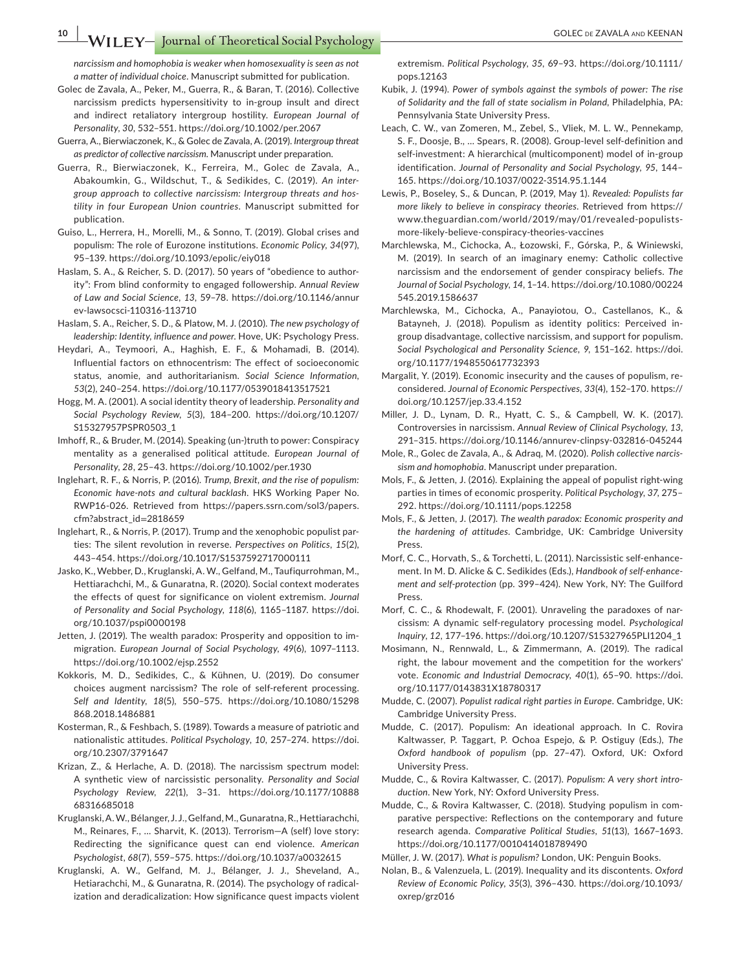**10 WILEY** Journal of Theoretical Social Psychology **COLEC DE ZAVALA AND KEENAN** 

*narcissism and homophobia is weaker when homosexuality is seen as not a matter of individual choice*. Manuscript submitted for publication.

- Golec de Zavala, A., Peker, M., Guerra, R., & Baran, T. (2016). Collective narcissism predicts hypersensitivity to in-group insult and direct and indirect retaliatory intergroup hostility. *European Journal of Personality*, *30*, 532–551.<https://doi.org/10.1002/per.2067>
- Guerra, A., Bierwiaczonek, K., & Golec de Zavala, A. (2019). *Intergroup threat as predictor of collective narcissism*. Manuscript under preparation.
- Guerra, R., Bierwiaczonek, K., Ferreira, M., Golec de Zavala, A., Abakoumkin, G., Wildschut, T., & Sedikides, C. (2019). *An intergroup approach to collective narcissism: Intergroup threats and hostility in four European Union countries*. Manuscript submitted for publication.
- Guiso, L., Herrera, H., Morelli, M., & Sonno, T. (2019). Global crises and populism: The role of Eurozone institutions. *Economic Policy*, *34*(97), 95–139.<https://doi.org/10.1093/epolic/eiy018>
- Haslam, S. A., & Reicher, S. D. (2017). 50 years of "obedience to authority": From blind conformity to engaged followership. *Annual Review of Law and Social Science*, *13*, 59–78. [https://doi.org/10.1146/annur](https://doi.org/10.1146/annurev-lawsocsci-110316-113710) [ev-lawsocsci-110316-113710](https://doi.org/10.1146/annurev-lawsocsci-110316-113710)
- Haslam, S. A., Reicher, S. D., & Platow, M. J. (2010). *The new psychology of leadership: Identity, influence and power*. Hove, UK: Psychology Press.
- Heydari, A., Teymoori, A., Haghish, E. F., & Mohamadi, B. (2014). Influential factors on ethnocentrism: The effect of socioeconomic status, anomie, and authoritarianism. *Social Science Information*, *53*(2), 240–254. <https://doi.org/10.1177/0539018413517521>
- Hogg, M. A. (2001). A social identity theory of leadership. *Personality and Social Psychology Review*, *5*(3), 184–200. [https://doi.org/10.1207/](https://doi.org/10.1207/S15327957PSPR0503_1) [S15327957PSPR0503\\_1](https://doi.org/10.1207/S15327957PSPR0503_1)
- Imhoff, R., & Bruder, M. (2014). Speaking (un-)truth to power: Conspiracy mentality as a generalised political attitude. *European Journal of Personality*, *28*, 25–43. <https://doi.org/10.1002/per.1930>
- Inglehart, R. F., & Norris, P. (2016). *Trump, Brexit, and the rise of populism: Economic have-nots and cultural backlash*. HKS Working Paper No. RWP16-026. Retrieved from [https://papers.ssrn.com/sol3/papers.](https://papers.ssrn.com/sol3/papers.cfm?abstract_id=2818659) [cfm?abstract\\_id](https://papers.ssrn.com/sol3/papers.cfm?abstract_id=2818659)=2818659
- Inglehart, R., & Norris, P. (2017). Trump and the xenophobic populist parties: The silent revolution in reverse. *Perspectives on Politics*, *15*(2), 443–454. <https://doi.org/10.1017/S1537592717000111>
- Jasko, K., Webber, D., Kruglanski, A. W., Gelfand, M., Taufiqurrohman, M., Hettiarachchi, M., & Gunaratna, R. (2020). Social context moderates the effects of quest for significance on violent extremism. *Journal of Personality and Social Psychology*, *118*(6), 1165–1187. [https://doi.](https://doi.org/10.1037/pspi0000198) [org/10.1037/pspi0000198](https://doi.org/10.1037/pspi0000198)
- Jetten, J. (2019). The wealth paradox: Prosperity and opposition to immigration. *European Journal of Social Psychology*, *49*(6), 1097–1113. <https://doi.org/10.1002/ejsp.2552>
- Kokkoris, M. D., Sedikides, C., & Kühnen, U. (2019). Do consumer choices augment narcissism? The role of self-referent processing. *Self and Identity*, *18*(5), 550–575. [https://doi.org/10.1080/15298](https://doi.org/10.1080/15298868.2018.1486881) [868.2018.1486881](https://doi.org/10.1080/15298868.2018.1486881)
- Kosterman, R., & Feshbach, S. (1989). Towards a measure of patriotic and nationalistic attitudes. *Political Psychology*, *10*, 257–274. [https://doi.](https://doi.org/10.2307/3791647) [org/10.2307/3791647](https://doi.org/10.2307/3791647)
- Krizan, Z., & Herlache, A. D. (2018). The narcissism spectrum model: A synthetic view of narcissistic personality. *Personality and Social Psychology Review*, *22*(1), 3–31. [https://doi.org/10.1177/10888](https://doi.org/10.1177/1088868316685018) [68316685018](https://doi.org/10.1177/1088868316685018)
- Kruglanski, A. W., Bélanger, J. J., Gelfand, M., Gunaratna, R., Hettiarachchi, M., Reinares, F., … Sharvit, K. (2013). Terrorism—A (self) love story: Redirecting the significance quest can end violence. *American Psychologist*, *68*(7), 559–575. <https://doi.org/10.1037/a0032615>
- Kruglanski, A. W., Gelfand, M. J., Bélanger, J. J., Sheveland, A., Hetiarachchi, M., & Gunaratna, R. (2014). The psychology of radicalization and deradicalization: How significance quest impacts violent

extremism. *Political Psychology*, *35*, 69–93. [https://doi.org/10.1111/](https://doi.org/10.1111/pops.12163) [pops.12163](https://doi.org/10.1111/pops.12163)

- Kubik, J. (1994). *Power of symbols against the symbols of power: The rise of Solidarity and the fall of state socialism in Poland*, Philadelphia, PA: Pennsylvania State University Press.
- Leach, C. W., van Zomeren, M., Zebel, S., Vliek, M. L. W., Pennekamp, S. F., Doosje, B., … Spears, R. (2008). Group-level self-definition and self-investment: A hierarchical (multicomponent) model of in-group identification. *Journal of Personality and Social Psychology*, *95*, 144– 165.<https://doi.org/10.1037/0022-3514.95.1.144>
- Lewis, P., Boseley, S., & Duncan, P. (2019, May 1). *Revealed: Populists far more likely to believe in conspiracy theories*. Retrieved from [https://](https://www.theguardian.com/world/2019/may/01/revealed-populists-more-likely-believe-conspiracy-theories-vaccines) [www.theguardian.com/world/2019/may/01/revealed-populists](https://www.theguardian.com/world/2019/may/01/revealed-populists-more-likely-believe-conspiracy-theories-vaccines)[more-likely-believe-conspiracy-theories-vaccines](https://www.theguardian.com/world/2019/may/01/revealed-populists-more-likely-believe-conspiracy-theories-vaccines)
- Marchlewska, M., Cichocka, A., Łozowski, F., Górska, P., & Winiewski, M. (2019). In search of an imaginary enemy: Catholic collective narcissism and the endorsement of gender conspiracy beliefs. *The Journal of Social Psychology*, *14*, 1–14. [https://doi.org/10.1080/00224](https://doi.org/10.1080/00224545.2019.1586637) [545.2019.1586637](https://doi.org/10.1080/00224545.2019.1586637)
- Marchlewska, M., Cichocka, A., Panayiotou, O., Castellanos, K., & Batayneh, J. (2018). Populism as identity politics: Perceived ingroup disadvantage, collective narcissism, and support for populism. *Social Psychological and Personality Science*, *9*, 151–162. [https://doi.](https://doi.org/10.1177/1948550617732393) [org/10.1177/1948550617732393](https://doi.org/10.1177/1948550617732393)
- Margalit, Y. (2019). Economic insecurity and the causes of populism, reconsidered. *Journal of Economic Perspectives*, *33*(4), 152–170. [https://](https://doi.org/10.1257/jep.33.4.152) [doi.org/10.1257/jep.33.4.152](https://doi.org/10.1257/jep.33.4.152)
- Miller, J. D., Lynam, D. R., Hyatt, C. S., & Campbell, W. K. (2017). Controversies in narcissism. *Annual Review of Clinical Psychology*, *13*, 291–315.<https://doi.org/10.1146/annurev-clinpsy-032816-045244>
- Mole, R., Golec de Zavala, A., & Adraq, M. (2020). *Polish collective narcissism and homophobia*. Manuscript under preparation.
- Mols, F., & Jetten, J. (2016). Explaining the appeal of populist right-wing parties in times of economic prosperity. *Political Psychology*, *37*, 275– 292. <https://doi.org/10.1111/pops.12258>
- Mols, F., & Jetten, J. (2017). *The wealth paradox: Economic prosperity and the hardening of attitudes*. Cambridge, UK: Cambridge University Press.
- Morf, C. C., Horvath, S., & Torchetti, L. (2011). Narcissistic self-enhancement. In M. D. Alicke & C. Sedikides (Eds.), *Handbook of self-enhancement and self-protection* (pp. 399–424). New York, NY: The Guilford Press.
- Morf, C. C., & Rhodewalt, F. (2001). Unraveling the paradoxes of narcissism: A dynamic self-regulatory processing model. *Psychological Inquiry*, *12*, 177–196. [https://doi.org/10.1207/S15327965PLI1204\\_1](https://doi.org/10.1207/S15327965PLI1204_1)
- Mosimann, N., Rennwald, L., & Zimmermann, A. (2019). The radical right, the labour movement and the competition for the workers' vote. *Economic and Industrial Democracy*, *40*(1), 65–90. [https://doi.](https://doi.org/10.1177/0143831X18780317) [org/10.1177/0143831X18780317](https://doi.org/10.1177/0143831X18780317)
- Mudde, C. (2007). *Populist radical right parties in Europe*. Cambridge, UK: Cambridge University Press.
- Mudde, C. (2017). Populism: An ideational approach. In C. Rovira Kaltwasser, P. Taggart, P. Ochoa Espejo, & P. Ostiguy (Eds.), *The Oxford handbook of populism* (pp. 27–47). Oxford, UK: Oxford University Press.
- Mudde, C., & Rovira Kaltwasser, C. (2017). *Populism: A very short introduction*. New York, NY: Oxford University Press.
- Mudde, C., & Rovira Kaltwasser, C. (2018). Studying populism in comparative perspective: Reflections on the contemporary and future research agenda. *Comparative Political Studies*, *51*(13), 1667–1693. <https://doi.org/10.1177/0010414018789490>

Nolan, B., & Valenzuela, L. (2019). Inequality and its discontents. *Oxford Review of Economic Policy*, *35*(3), 396–430. [https://doi.org/10.1093/](https://doi.org/10.1093/oxrep/grz016) [oxrep/grz016](https://doi.org/10.1093/oxrep/grz016)

Müller, J. W. (2017). *What is populism?* London, UK: Penguin Books.